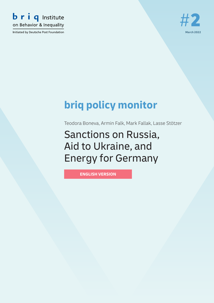

Initiated by Deutsche Post Foundation



# **briq policy monitor**

<span id="page-0-0"></span>Teodora Boneva, Armin Falk, Mark Fallak, Lasse Stötzer

<span id="page-0-1"></span>Sanctions on Russia, Aid to Ukraine, and Energy for Germany

**ENGLISH VERSION**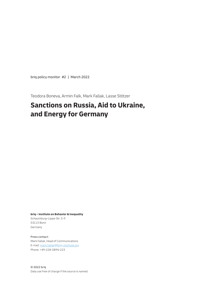briq policy monitor #2 | March 2022

[Teodora Boneva, Armin Falk, Mark Fallak, Lasse Stötzer](#page-0-0)

# **[Sanctions on Russia, Aid to Ukraine,](#page-0-1)  [and Energy for Germany](#page-0-1)**

**briq – Institute on Behavior & Inequality**

Schaumburg-Lippe-Str. 5-9 53113 Bonn Germany

Press contact: Mark Fallak, Head of Communications E-mail: mark.fallak@briq-institute.org Phone: +49-228-3894-223

© 2022 briq Data use free of charge if the source is named.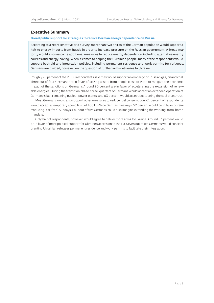# **Executive Summary**

### **Broad public support for strategies to reduce German energy dependence on Russia**

According to a representative briq survey, more than two-thirds of the German population would support a halt to energy imports from Russia in order to increase pressure on the Russian government. A broad majority would also welcome additional measures to reduce energy dependence, including alternative energy sources and energy-saving. When it comes to helping the Ukrainian people, many of the respondents would support both aid and integration policies, including permanent residence and work permits for refugees. Germans are divided, however, on the question of further arms deliveries to Ukraine.

Roughly 70 percent of the 2,000 respondents said they would support an embargo on Russian gas, oil and coal. Three out of four Germans are in favor of seizing assets from people close to Putin to mitigate the economic impact of the sanctions on Germany. Around 90 percent are in favor of accelerating the expansion of renewable energies. During the transition phase, three-quarters of Germans would accept an extended operation of Germany's last remaining nuclear power plants, and 63 percent would accept postponing the coal phase-out.

Most Germans would also support other measures to reduce fuel consumption: 61 percent of respondents would accept a temporary speed limit of 100 km/h on German freeways; 52 percent would be in favor of reintroducing "car-free" Sundays. Four out of five Germans could also imagine extending the working-from-home mandate.

Only half of respondents, however, would agree to deliver more arms to Ukraine. Around 56 percent would be in favor of more political support for Ukraine's accession to the EU. Seven out of ten Germans would consider granting Ukrainian refugees permanent residence and work permits to facilitate their integration.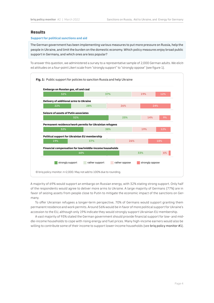# **Results**

## **Support for political sanctions and aid**

The German government has been implementing various measures to put more pressure on Russia, help the people in Ukraine, and limit the burden on the domestic economy. Which policy measures enjoy broad public support in Germany, and which ones are less popular?

To answer this question, we administered a survey to a representative sample of 2,000 German adults. We elicited attitudes on a four-point Likert scale from "strongly support" to "strongly oppose" (see figure 1).



A majority of 69% would support an embargo on Russian energy, with 32% stating strong support. Only half of the respondents would agree to deliver more arms to Ukraine. A large majority of Germans (77%) are in favor of seizing assets from people close to Putin to mitigate the economic impact of the sanctions on Germany.

To offer Ukrainian refugees a longer-term perspective, 70% of Germans would support granting them permanent residence and work permits. Around 56% would be in favor of more political support for Ukraine's accession to the EU, although only 19% indicate they would strongly support Ukrainian EU membership.

A vast majority of 93% stated the German government should provide financial support for low- and middle-income households to cope with rising energy and fuel prices. Many high-income earners would also be willing to contribute some of their income to support lower-income households (see briq policy monitor #1).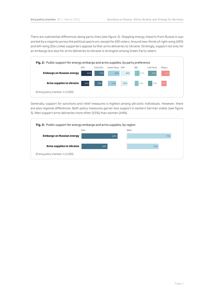There are substantial differences along party lines (see figure 2). Stopping energy imports from Russia is supported by a majority across the political spectrum, except for AfD voters. Around two-thirds of right-wing (AfD) and left-wing (Die Linke) supporters oppose further arms deliveries to Ukraine. Strikingly, support not only for an embargo but also for arms deliveries to Ukraine is strongest among Green Party voters.



Generally, support for sanctions and relief measures is highest among altruistic individuals. However, there are also regional differences. Both policy measures garner less support in eastern German states (see figure 3). Men support arms deliveries more often (55%) than women (44%).

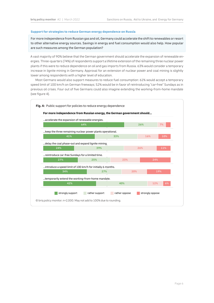#### **Support for strategies to reduce German energy dependence on Russia**

For more independence from Russian gas and oil, Germany could accelerate the shift to renewables or resort to other alternative energy sources. Savings in energy and fuel consumption would also help. How popular are such measures among the German population?

A vast majority of 90% believe that the German government should accelerate the expansion of renewable energies. Three-quarters (74%) of respondents support a lifetime extension of the remaining three nuclear power plants if this were to reduce dependence on oil and gas imports from Russia. 63% would consider a temporary increase in lignite mining in Germany. Approval for an extension of nuclear power and coal mining is slightly lower among respondents with a higher level of education.

Most Germans would also support measures to reduce fuel consumption: 61% would accept a temporary speed limit of 100 km/h on German freeways; 52% would be in favor of reintroducing "car-free" Sundays as in previous oil crises. Four out of five Germans could also imagine extending the working-from-home mandate (see figure 4).

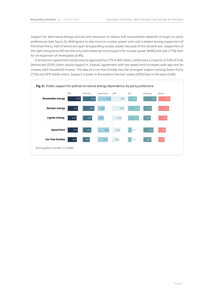Support for alternative energy sources and measures to reduce fuel consumption depends strongly on party preferences (see figure 5). Willingness to rely more on nuclear power and coal is lowest among supporters of the Green Party, half of whom are open to expanding nuclear power because of the Ukraine war. Supporters of the right-wing party AfD are the only ones showing more support for nuclear power (84%) and coal (77%) than for an expansion of renewables (64%).

A temporary speed limit would only be approved by 27% of AfD voters, while even a majority of 53% of Free Democrats (FDP) voters would support it. Overall, agreement with the speed limit increases with age and decreases with household income. The idea of a car-free Sunday has the strongest support among Green Party (71%) and SPD (66%) voters. Support is lower in the eastern German states (45%) than in the west (56%).

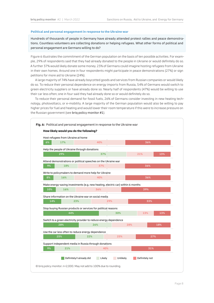#### **Political and personal engagement in response to the Ukraine war**

Hundreds of thousands of people in Germany have already attended protest rallies and peace demonstrations. Countless volunteers are collecting donations or helping refugees. What other forms of political and personal engagement are Germans willing to do?

Figure 6 illustrates the commitment of the German population on the basis of ten possible activities. For example, 29% of respondents said that they had already donated to the people in Ukraine or would definitely do so. A further 37% would likely donate some money. 23% of Germans could imagine hosting refugees from Ukraine in their own homes. Around one in four respondents might participate in peace demonstrations (27%) or sign petitions for more aid to Ukraine (24%).

A large majority of 74% have already boycotted goods and services from Russian companies or would likely do so. To reduce their personal dependence on energy imports from Russia, 54% of Germans would switch to green electricity suppliers or have already done so. Nearly half of respondents (47%) would be willing to use their car less often; one in four said they had already done so or would definitely do so.

To reduce their personal demand for fossil fuels, 26% of Germans consider investing in new heating technology, photovoltaics, or e-mobility. A large majority of the German population would also be willing to pay higher prices for fuel and heating and would lower their room temperature if this were to increase pressure on the Russian government (see brig policy monitor #1).

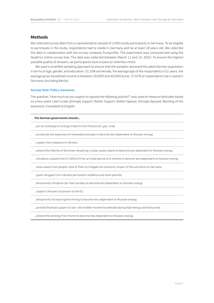# **Methods**

We collected survey data from a representative sample of 2,000 study participants in Germany. To be eligible to participate in the study, respondents had to reside in Germany and be at least 18 years old. We collected the data in collaboration with the survey company Pureprofile. The experiment was computerized using the Qualtrics online survey tool. The data was collected between March 11 and 15, 2022. To ensure the highest possible quality of answers, all participants have to pass an attention check.

We used a stratified sampling approach to ensure that the samples represent the adult German population in terms of age, gender, and education. 51.10% are female, the average age of the respondents is 51 years, the average gross household income is between 30,000 and 40,000 euros. 27.67% of respondents live in eastern Germany (including Berlin).

#### **Survey item: Policy measures**

The question *"How much do you support or oppose the following policies?"* was used to measure attitudes based on a four-point Likert scale (*Strongly Support*, *Rather Support*, *Rather Oppose*, *Strongly Oppose*). Wording of the questions, translated to English:

#### **The German government should…**

…put an embargo on energy imports from Russia (oil, gas, coal).

…accelerate the expansion of renewable energies to become less dependent on Russian energy.

…supply more weapons to Ukraine.

…extend the lifetime of the three remaining nuclear power plants to become less dependent on Russian energy.

…introduce a speed limit of 100 km/h for an initial period of 6 months to become less dependent on Russian energy.

…seize assets from people close to Putin to mitigate the economic impact of the sanctions on Germany.

…grant refugees from Ukraine permanent residence and work permits.

…temporarily introduce car-free Sundays to become less dependent on Russian energy.

…support Ukraine's accession to the EU.

…temporarily increase lignite mining to become less dependent on Russian energy.

…provide financial support to low- and middle-income households facing high energy and fuel prices.

…extend the working-from-home to become less dependent on Russian energy.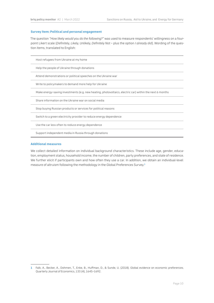#### **Survey item: Political and personal engagement**

The question *"How likely would you do the following?"* was used to measure respondents' willingness on a fourpoint Likert scale (*Definitely*, *Likely*, *Unlikely*, *Definitely Not* – plus the option *I already did*). Wording of the question items, translated to English:

Host refugees from Ukraine at my home Help the people of Ukraine through donations Attend demonstrations or political speeches on the Ukraine war Write to policymakers to demand more help for Ukraine Make energy-saving investments (e.g. new heating, photovoltaics, electric car) within the next 6 months Share information on the Ukraine war on social media Stop buying Russian products or services for political reasons Switch to a green electricity provider to reduce energy dependence Use the car less often to reduce energy dependence Support independent media in Russia through donations

#### **Additional measures**

We collect detailed information on individual background characteristics. These include age, gender, education, employment status, household income, the number of children, party preferences, and state of residence. We further elicit if participants own and how often they use a car. In addition, we obtain an individual-level measure of altruism following the methodology in the Global Preferences Survey.**<sup>1</sup>**

**<sup>1</sup>** Falk, A., Becker, A., Dohmen, T., Enke, B., Huffman, D., & Sunde, U. (2018). Global evidence on economic preferences. Quarterly Journal of Economics, 133 (4), 1645–1692.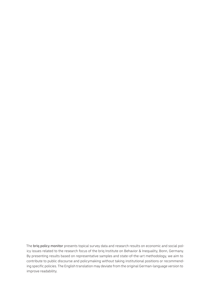The briq policy monitor presents topical survey data and research results on economic and social policy issues related to the research focus of the briq Institute on Behavior & Inequality, Bonn, Germany. By presenting results based on representative samples and state-of-the-art methodology, we aim to contribute to public discourse and policymaking without taking institutional positions or recommending specific policies. The English translation may deviate from the original German-language version to improve readability.